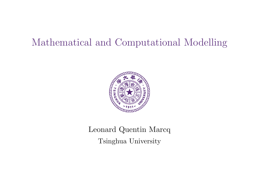# Mathematical and Computational Modelling



Leonard Quentin Marcq Tsinghua University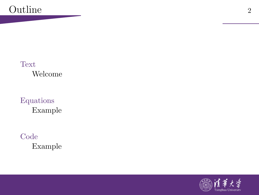#### [Text](#page-2-0) [Welcome](#page-3-0)

### [Equations](#page-4-0) [Example](#page-5-0)

#### [Code](#page-7-0) [Example](#page-8-0)

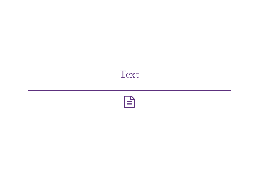# <span id="page-2-0"></span>Text

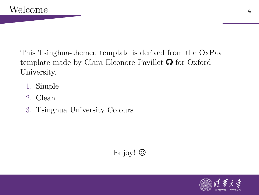<span id="page-3-0"></span>This Tsinghua-themed template is derived from the OxPav template made by Clara Eleonore Pavillet  $\Omega$  for Oxford University.

- 1. Simple
- 2. Clean
- 3. Tsinghua University Colours

## Enjoy!  $\odot$

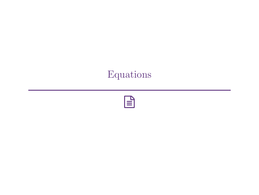# <span id="page-4-0"></span>Equations

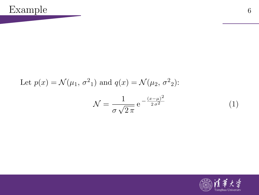<span id="page-5-0"></span>Let 
$$
p(x) = \mathcal{N}(\mu_1, \sigma^2_1)
$$
 and  $q(x) = \mathcal{N}(\mu_2, \sigma^2_2)$ :

$$
\mathcal{N} = \frac{1}{\sigma\sqrt{2\pi}} e^{-\frac{(x-\mu)^2}{2\sigma^2}}
$$
(1)

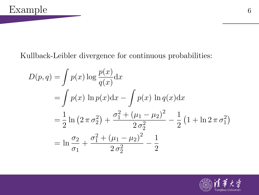#### Kullback-Leibler divergence for continuous probabilities:

$$
D(p,q) = \int p(x) \log \frac{p(x)}{q(x)} dx
$$
  
= 
$$
\int p(x) \ln p(x) dx - \int p(x) \ln q(x) dx
$$
  
= 
$$
\frac{1}{2} \ln (2 \pi \sigma_2^2) + \frac{\sigma_1^2 + (\mu_1 - \mu_2)^2}{2 \sigma_2^2} - \frac{1}{2} (1 + \ln 2 \pi \sigma_1^2)
$$
  
= 
$$
\ln \frac{\sigma_2}{\sigma_1} + \frac{\sigma_1^2 + (\mu_1 - \mu_2)^2}{2 \sigma_2^2} - \frac{1}{2}
$$

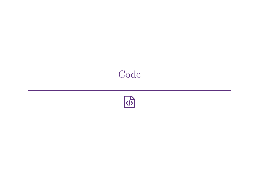# <span id="page-7-0"></span>[Code](#page-7-0)